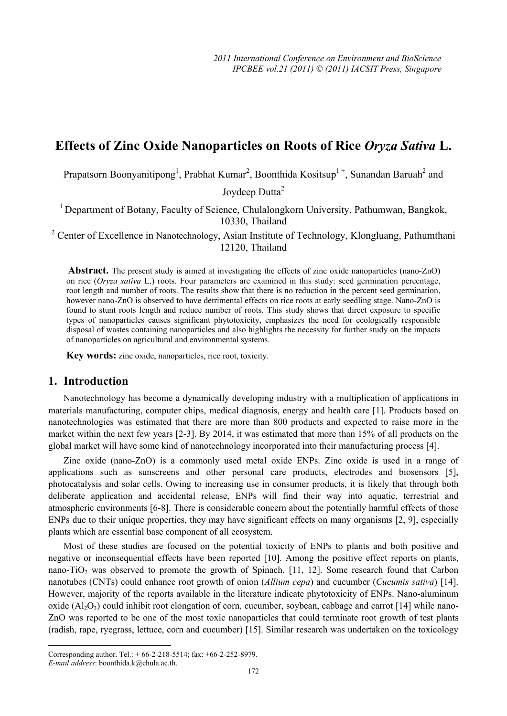# **Effects of Zinc Oxide Nanoparticles on Roots of Rice** *Oryza Sativa* **L.**

Prapatsorn Boonyanitipong<sup>1</sup>, Prabhat Kumar<sup>2</sup>, Boonthida Kositsup<sup>1+</sup>, Sunandan Baruah<sup>2</sup> and

Joydeep Dutta<sup>2</sup>

<sup>1</sup> Department of Botany, Faculty of Science, Chulalongkorn University, Pathumwan, Bangkok, 10330, Thailand

<sup>2</sup> Center of Excellence in Nanotechnology, Asian Institute of Technology, Klongluang, Pathumthani 12120, Thailand

 **Abstract.** The present study is aimed at investigating the effects of zinc oxide nanoparticles (nano-ZnO) on rice (*Oryza sativa* L.) roots. Four parameters are examined in this study: seed germination percentage, root length and number of roots. The results show that there is no reduction in the percent seed germination, however nano-ZnO is observed to have detrimental effects on rice roots at early seedling stage. Nano-ZnO is found to stunt roots length and reduce number of roots. This study shows that direct exposure to specific types of nanoparticles causes significant phytotoxicity, emphasizes the need for ecologically responsible disposal of wastes containing nanoparticles and also highlights the necessity for further study on the impacts of nanoparticles on agricultural and environmental systems.

**Key words:** zinc oxide, nanoparticles, rice root, toxicity.

#### **1. Introduction**

Nanotechnology has become a dynamically developing industry with a multiplication of applications in materials manufacturing, computer chips, medical diagnosis, energy and health care [1]. Products based on nanotechnologies was estimated that there are more than 800 products and expected to raise more in the market within the next few years [2-3]. By 2014, it was estimated that more than 15% of all products on the global market will have some kind of nanotechnology incorporated into their manufacturing process [4].

Zinc oxide (nano-ZnO) is a commonly used metal oxide ENPs. Zinc oxide is used in a range of applications such as sunscreens and other personal care products, electrodes and biosensors [5], photocatalysis and solar cells. Owing to increasing use in consumer products, it is likely that through both deliberate application and accidental release, ENPs will find their way into aquatic, terrestrial and atmospheric environments [6-8]. There is considerable concern about the potentially harmful effects of those ENPs due to their unique properties, they may have significant effects on many organisms [2, 9], especially plants which are essential base component of all ecosystem.

Most of these studies are focused on the potential toxicity of ENPs to plants and both positive and negative or inconsequential effects have been reported [10]. Among the positive effect reports on plants, nano-TiO<sub>2</sub> was observed to promote the growth of Spinach. [11, 12]. Some research found that Carbon nanotubes (CNTs) could enhance root growth of onion (*Allium cepa*) and cucumber (*Cucumis sativa*) [14]. However, majority of the reports available in the literature indicate phytotoxicity of ENPs. Nano-aluminum oxide  $(A_1, O_3)$  could inhibit root elongation of corn, cucumber, soybean, cabbage and carrot [14] while nano-ZnO was reported to be one of the most toxic nanoparticles that could terminate root growth of test plants (radish, rape, ryegrass, lettuce, corn and cucumber) [15]. Similar research was undertaken on the toxicology

 $\overline{\phantom{a}}$ 

Corresponding author. Tel.: + 66-2-218-5514; fax: +66-2-252-8979.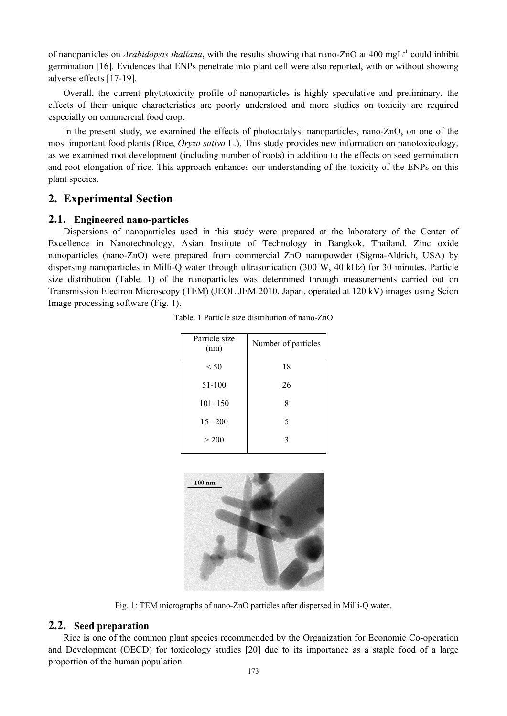of nanoparticles on *Arabidopsis thaliana*, with the results showing that nano-ZnO at 400 mgL-1 could inhibit germination [16]. Evidences that ENPs penetrate into plant cell were also reported, with or without showing adverse effects [17-19].

Overall, the current phytotoxicity profile of nanoparticles is highly speculative and preliminary, the effects of their unique characteristics are poorly understood and more studies on toxicity are required especially on commercial food crop.

In the present study, we examined the effects of photocatalyst nanoparticles, nano-ZnO, on one of the most important food plants (Rice, *Oryza sativa* L.). This study provides new information on nanotoxicology, as we examined root development (including number of roots) in addition to the effects on seed germination and root elongation of rice. This approach enhances our understanding of the toxicity of the ENPs on this plant species.

# **2. Experimental Section**

#### **2.1. Engineered nano-particles**

Dispersions of nanoparticles used in this study were prepared at the laboratory of the Center of Excellence in Nanotechnology, Asian Institute of Technology in Bangkok, Thailand. Zinc oxide nanoparticles (nano-ZnO) were prepared from commercial ZnO nanopowder (Sigma-Aldrich, USA) by dispersing nanoparticles in Milli-Q water through ultrasonication (300 W, 40 kHz) for 30 minutes. Particle size distribution (Table. 1) of the nanoparticles was determined through measurements carried out on Transmission Electron Microscopy (TEM) (JEOL JEM 2010, Japan, operated at 120 kV) images using Scion Image processing software (Fig. 1).

| Particle size<br>(nm) | Number of particles |
|-----------------------|---------------------|
| < 50                  | 18                  |
| $51-100$              | 26                  |
| $101 - 150$           | 8                   |
| $15 - 200$            | 5                   |
| > 200                 | 3                   |
|                       |                     |

Table. 1 Particle size distribution of nano-ZnO



Fig. 1: TEM micrographs of nano-ZnO particles after dispersed in Milli-Q water.

#### **2.2. Seed preparation**

Rice is one of the common plant species recommended by the Organization for Economic Co-operation and Development (OECD) for toxicology studies [20] due to its importance as a staple food of a large proportion of the human population.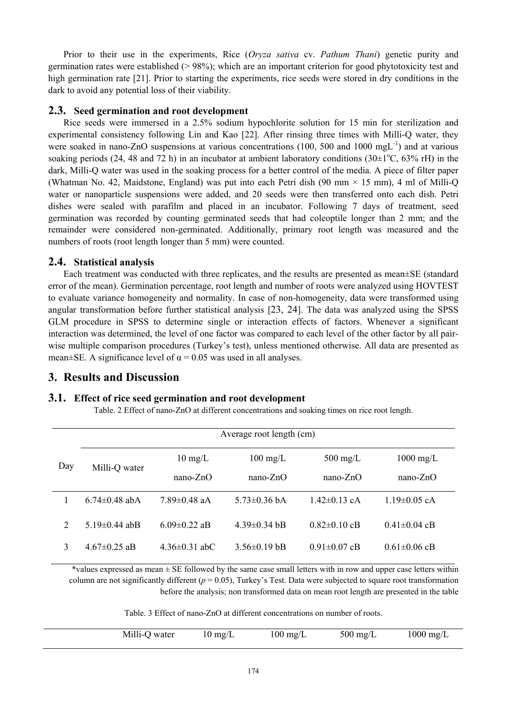Prior to their use in the experiments, Rice (*Oryza sativa* cv. *Pathum Thani*) genetic purity and germination rates were established  $(> 98\%)$ ; which are an important criterion for good phytotoxicity test and high germination rate [21]. Prior to starting the experiments, rice seeds were stored in dry conditions in the dark to avoid any potential loss of their viability.

#### **2.3. Seed germination and root development**

Rice seeds were immersed in a 2.5% sodium hypochlorite solution for 15 min for sterilization and experimental consistency following Lin and Kao [22]. After rinsing three times with Milli-Q water, they were soaked in nano-ZnO suspensions at various concentrations (100, 500 and 1000 mgL<sup>-1</sup>) and at various soaking periods (24, 48 and 72 h) in an incubator at ambient laboratory conditions (30 $\pm$ 1<sup>o</sup>C, 63% rH) in the dark, Milli-Q water was used in the soaking process for a better control of the media. A piece of filter paper (Whatman No. 42, Maidstone, England) was put into each Petri dish (90 mm × 15 mm), 4 ml of Milli-Q water or nanoparticle suspensions were added, and 20 seeds were then transferred onto each dish. Petri dishes were sealed with parafilm and placed in an incubator. Following 7 days of treatment, seed germination was recorded by counting germinated seeds that had coleoptile longer than 2 mm; and the remainder were considered non-germinated. Additionally, primary root length was measured and the numbers of roots (root length longer than 5 mm) were counted.

#### **2.4. Statistical analysis**

Each treatment was conducted with three replicates, and the results are presented as mean±SE (standard error of the mean). Germination percentage, root length and number of roots were analyzed using HOVTEST to evaluate variance homogeneity and normality. In case of non-homogeneity, data were transformed using angular transformation before further statistical analysis [23, 24]. The data was analyzed using the SPSS GLM procedure in SPSS to determine single or interaction effects of factors. Whenever a significant interaction was determined, the level of one factor was compared to each level of the other factor by all pairwise multiple comparison procedures (Turkey's test), unless mentioned otherwise. All data are presented as mean $\pm$ SE. A significance level of  $\alpha$  = 0.05 was used in all analyses.

# **3. Results and Discussion**

# **3.1. Effect of rice seed germination and root development**

Table. 2 Effect of nano-ZnO at different concentrations and soaking times on rice root length.

|     | Average root length (cm) |                    |                    |                    |                     |  |
|-----|--------------------------|--------------------|--------------------|--------------------|---------------------|--|
| Day | Milli-Q water            | $10 \text{ mg/L}$  | $100 \text{ mg/L}$ | $500 \text{ mg/L}$ | $1000 \text{ mg/L}$ |  |
|     |                          | $nano-ZnO$         | $nano-ZnO$         | $nano-ZnO$         | $nano-ZnO$          |  |
|     | 6.74 $\pm$ 0.48 abA      | $789\pm048$ aA     | $573\pm0.36$ bA    | $142\pm0.13$ cA    | $1.19\pm0.05$ cA    |  |
| 2   | 5 19 $\pm$ 0 44 abB      | $6.09 \pm 0.22$ aB | 4 39 $\pm$ 0 34 bB | $0.82\pm0.10$ cB   | $0.41 \pm 0.04$ cB  |  |
| 3   | $4.67\pm0.25$ aB         | $4.36\pm0.31$ abC  | $3.56\pm0.19$ bB   | $0.91 \pm 0.07$ cB | $0.61 \pm 0.06$ cB  |  |

\*values expressed as mean ± SE followed by the same case small letters with in row and upper case letters within column are not significantly different ( $p = 0.05$ ), Turkey's Test. Data were subjected to square root transformation before the analysis; non transformed data on mean root length are presented in the table

Table. 3 Effect of nano-ZnO at different concentrations on number of roots.

| Milli-Q water<br>$1000 \text{ mg/L}$<br>$500 \text{ mg/L}$<br>$100 \text{ mg/L}$<br>$10 \text{ mg/L}$ |  |
|-------------------------------------------------------------------------------------------------------|--|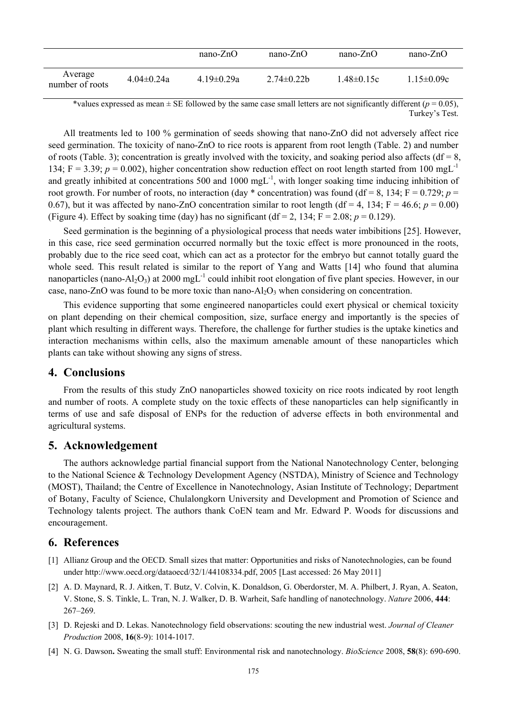|                            |                  | $nano-ZnO$       | $nano-ZnO$     | $nano-ZnO$       | $nano-ZnO$       |
|----------------------------|------------------|------------------|----------------|------------------|------------------|
| Average<br>number of roots | $4.04 \pm 0.24a$ | $4.19 \pm 0.29a$ | $2.74\pm0.22b$ | $1.48 \pm 0.15c$ | $1.15 \pm 0.09c$ |

\*values expressed as mean  $\pm$  SE followed by the same case small letters are not significantly different ( $p = 0.05$ ), Turkey's Test.

All treatments led to 100 % germination of seeds showing that nano-ZnO did not adversely affect rice seed germination. The toxicity of nano-ZnO to rice roots is apparent from root length (Table. 2) and number of roots (Table. 3); concentration is greatly involved with the toxicity, and soaking period also affects ( $df = 8$ , 134;  $F = 3.39$ ;  $p = 0.002$ ), higher concentration show reduction effect on root length started from 100 mgL<sup>-1</sup> and greatly inhibited at concentrations 500 and 1000 mgL<sup>-1</sup>, with longer soaking time inducing inhibition of root growth. For number of roots, no interaction (day  $*$  concentration) was found (df = 8, 134; F = 0.729; *p* = 0.67), but it was affected by nano-ZnO concentration similar to root length (df = 4, 134;  $F = 46.6$ ;  $p = 0.00$ ) (Figure 4). Effect by soaking time (day) has no significant ( $df = 2$ , 134;  $F = 2.08$ ;  $p = 0.129$ ).

Seed germination is the beginning of a physiological process that needs water imbibitions [25]. However, in this case, rice seed germination occurred normally but the toxic effect is more pronounced in the roots, probably due to the rice seed coat, which can act as a protector for the embryo but cannot totally guard the whole seed. This result related is similar to the report of Yang and Watts [14] who found that alumina nanoparticles (nano-Al<sub>2</sub>O<sub>3</sub>) at 2000 mgL<sup>-1</sup> could inhibit root elongation of five plant species. However, in our case, nano-ZnO was found to be more toxic than nano- $Al_2O_3$  when considering on concentration.

This evidence supporting that some engineered nanoparticles could exert physical or chemical toxicity on plant depending on their chemical composition, size, surface energy and importantly is the species of plant which resulting in different ways. Therefore, the challenge for further studies is the uptake kinetics and interaction mechanisms within cells, also the maximum amenable amount of these nanoparticles which plants can take without showing any signs of stress.

# **4. Conclusions**

From the results of this study ZnO nanoparticles showed toxicity on rice roots indicated by root length and number of roots. A complete study on the toxic effects of these nanoparticles can help significantly in terms of use and safe disposal of ENPs for the reduction of adverse effects in both environmental and agricultural systems.

# **5. Acknowledgement**

The authors acknowledge partial financial support from the National Nanotechnology Center, belonging to the National Science & Technology Development Agency (NSTDA), Ministry of Science and Technology (MOST), Thailand; the Centre of Excellence in Nanotechnology, Asian Institute of Technology; Department of Botany, Faculty of Science, Chulalongkorn University and Development and Promotion of Science and Technology talents project. The authors thank CoEN team and Mr. Edward P. Woods for discussions and encouragement.

# **6. References**

- [1] Allianz Group and the OECD. Small sizes that matter: Opportunities and risks of Nanotechnologies, can be found under http://www.oecd.org/dataoecd/32/1/44108334.pdf, 2005 [Last accessed: 26 May 2011]
- [2] A. D. Maynard, R. J. Aitken, T. Butz, V. Colvin, K. Donaldson, G. Oberdorster, M. A. Philbert, J. Ryan, A. Seaton, V. Stone, S. S. Tinkle, L. Tran, N. J. Walker, D. B. Warheit, Safe handling of nanotechnology. *Nature* 2006, **444**: 267–269.
- [3] D. Rejeski and D. Lekas. Nanotechnology field observations: scouting the new industrial west. *Journal of Cleaner Production* 2008, **16**(8-9): 1014-1017.
- [4] N. G. Dawson**.** Sweating the small stuff: Environmental risk and nanotechnology. *BioScience* 2008, **58**(8): 690-690.